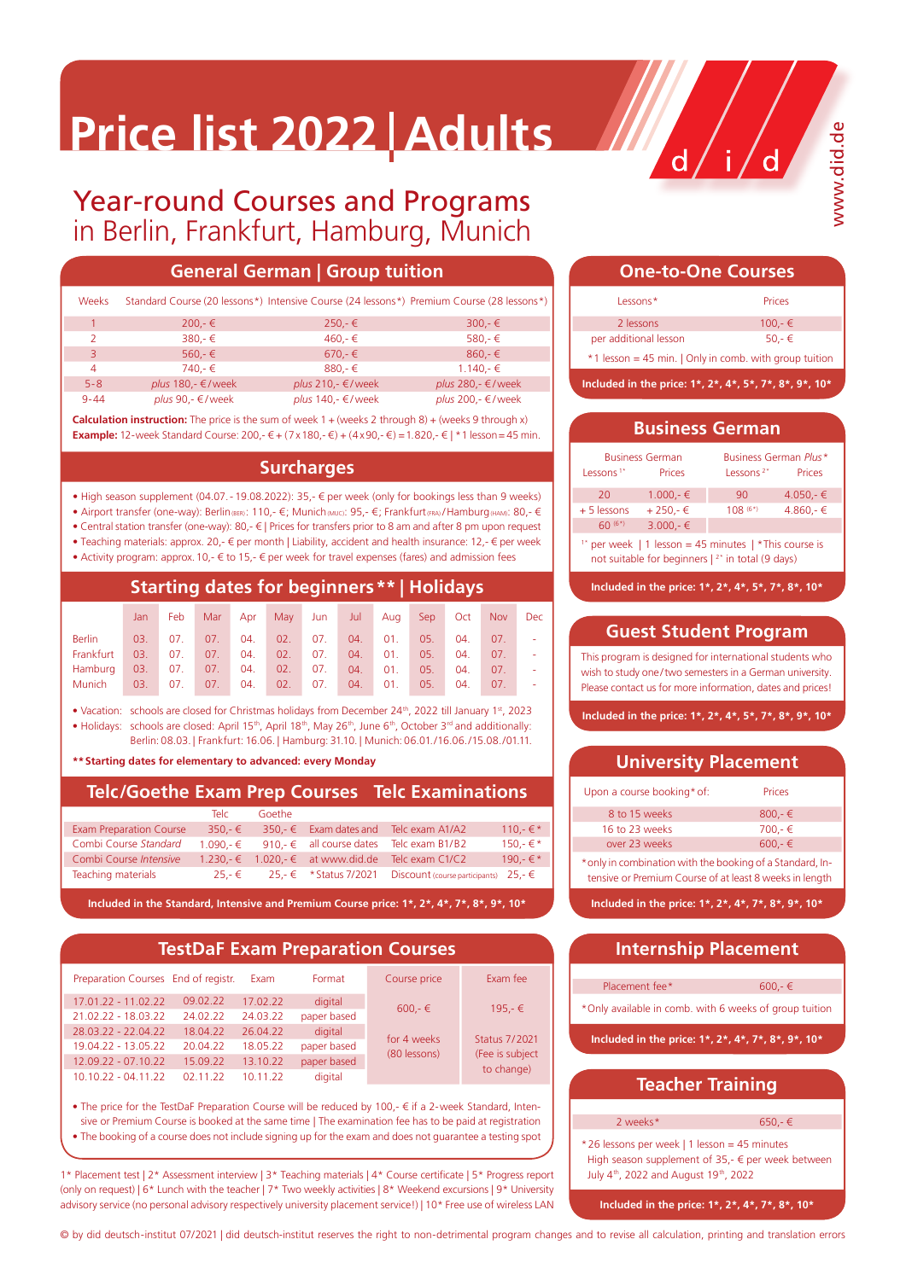# **Price list 2022 Adults**

 $\overline{h}'$ 

## Year-round Courses and Programs in Berlin, Frankfurt, Hamburg, Munich

### **General German | Group tuition**

| Weeks         |                   |                             | Standard Course (20 lessons*) Intensive Course (24 lessons*) Premium Course (28 lessons*) |
|---------------|-------------------|-----------------------------|-------------------------------------------------------------------------------------------|
|               | $200.-€$          | $250,-€$                    | $300,-$ €                                                                                 |
| $\mathcal{P}$ | 380,-€            | 460,-€                      | 580,-€                                                                                    |
| 3             | $560,-$ €         | $670 - \epsilon$            | $860 - \epsilon$                                                                          |
| 4             | 740.-€            | $880 - \epsilon$            | $1.140 - \epsilon$                                                                        |
| $5 - 8$       | plus 180,- €/week | plus 210,- €/week           | plus 280,- €/week                                                                         |
| $9 - 44$      | plus 90,- €/week  | plus 140,- $\epsilon$ /week | plus 200,- €/week                                                                         |

**Calculation instruction:** The price is the sum of week 1 + (weeks 2 through 8) + (weeks 9 through x) **Example:** 12-week Standard Course: 200,- € + (7 x 180,- €) + (4 x 90,- €) = 1.820,- € | \* 1 lesson = 45 min.

### **Surcharges**

- High season supplement (04.07. 19.08.2022): 35,- € per week (only for bookings less than 9 weeks)
- Airport transfer (one-way): Berlin(BER): 110,- €; Munich(MUC): 95,- €; Frankfurt(FRA)/ Hamburg(HAM): 80,- €
- Central station transfer (one-way): 80,- € | Prices for transfers prior to 8 am and after 8 pm upon request
- Teaching materials: approx. 20,-  $\epsilon$  per month | Liability, accident and health insurance: 12,-  $\epsilon$  per week
- Activity program: approx. 10,- € to 15,- € per week for travel expenses (fares) and admission fees

### **Starting dates for beginners\*\* | Holidays**

|               | Jan. | Feb | Mar | Apr | May 1 |     |     | Jun Jul Aug Sep Oct |     |      | Nov             | Dec |
|---------------|------|-----|-----|-----|-------|-----|-----|---------------------|-----|------|-----------------|-----|
| <b>Berlin</b> | 03.  | 07. | 07. | 04. | 02.   | 07. | 04. | 01.                 | 05. | 04.  | 07.             | ×.  |
| Frankfurt     | 03.  | 07. | 07. | 04. | 02.   | 07. | 04. | 01.                 | 05. | 04.  | 07 <sub>1</sub> |     |
| Hamburg       | 03.  | 07. | 07. | 04. | 02.   | 07. | 04. | 01.                 | 05. | -04. | 07 <sub>1</sub> |     |
| Munich        | 03.  | 07. | 07. | 04. | 02.   | 07. | 04. | 01.                 | 05. | 04.  | 07 <sub>1</sub> |     |
|               |      |     |     |     |       |     |     |                     |     |      |                 |     |

• Vacation: schools are closed for Christmas holidays from December 24<sup>th</sup>, 2022 till January 1<sup>st</sup>, 2023 • Holidays: schools are closed: April 15<sup>th</sup>, April 18<sup>th</sup>, May 26<sup>th</sup>, June 6<sup>th</sup>, October 3<sup>rd</sup> and additionally:

Berlin: 08.03. | Frankfurt: 16.06. | Hamburg: 31.10. | Munich: 06.01./16.06./15.08./01.11.

**\*\*Starting dates for elementary to advanced: every Monday**

### **Telc/Goethe Exam Prep Courses Telc Examinations**

|                         | Telc        | Goethe |                                                                              |           |
|-------------------------|-------------|--------|------------------------------------------------------------------------------|-----------|
| Exam Preparation Course | $350 - \in$ |        | $350 - \epsilon$ Exam dates and Telc exam A1/A2                              | $110.-€*$ |
| Combi Course Standard   | 1.090.- €   |        | 910.- $\epsilon$ all course dates Telc exam B1/B2                            | $150.-€*$ |
| Combi Course Intensive  |             |        | $1.230 - \epsilon$ 1.020.- $\epsilon$ at www.did.de Telc exam C1/C2          | $190.-€*$ |
| Teaching materials      | 25.-€       |        | 25, $\text{∈}$ * Status 7/2021 Discount (course participants) 25, $\text{∈}$ |           |

**Included in the Standard, Intensive and Premium Course price: 1\*, 2\*, 4\*, 7\*, 8\*, 9\*, 10\***

### **TestDaF Exam Preparation Courses**

| Preparation Courses End of registr. |          | Exam     | Format      | Course price     | Exam fee             |
|-------------------------------------|----------|----------|-------------|------------------|----------------------|
| $17.01.22 - 11.02.22$               | 09 02 22 | 17.02.22 | digital     |                  |                      |
| 21.02.22 - 18.03.22                 | 24.02.22 | 24.03.22 | paper based | $600 - \epsilon$ | $195,-€$             |
| 28 03 22 - 22 04 22                 | 18.04.22 | 26.04.22 | digital     | for 4 weeks      | <b>Status 7/2021</b> |
| 19 04 22 - 13 05 22                 | 20.04.22 | 18.05.22 | paper based | (80 lessons)     | (Fee is subject      |
| 12.09.22 - 07.10.22                 | 15.09.22 | 13.10.22 | paper based |                  | to change)           |
| 10.10.22 - 04.11.22                 |          | 10 11 22 | digital     |                  |                      |

• The price for the TestDaF Preparation Course will be reduced by 100,- € if a 2-week Standard, Intensive or Premium Course is booked at the same time | The examination fee has to be paid at registration • The booking of a course does not include signing up for the exam and does not guarantee a testing spot

1\* Placement test | 2\* Assessment interview | 3\* Teaching materials | 4\* Course certificate | 5\* Progress report (only on request)  $6*$  Lunch with the teacher  $7*$  Two weekly activities  $8*$  Weekend excursions  $9*$  University advisory service (no personal advisory respectively university placement service!) | 10\* Free use of wireless LAN

### **One-to-One Courses**

| Lessons*                                               | <b>Prices</b> |  |  |  |
|--------------------------------------------------------|---------------|--|--|--|
| 2 lessons                                              | $100,-$ €     |  |  |  |
| per additional lesson                                  | 50.-€         |  |  |  |
| *1 lesson = 45 min.   Only in comb. with group tuition |               |  |  |  |

**Included in the price: 1\*, 2\*, 4\*, 5\*, 7\*, 8\*, 9\*, 10\***

### **Business German**

|                                                                  | <b>Business German</b> | Business German Plus* |               |  |  |
|------------------------------------------------------------------|------------------------|-----------------------|---------------|--|--|
| Lessons <sup>1*</sup>                                            | <b>Prices</b>          | Lessons <sup>2*</sup> | <b>Prices</b> |  |  |
| 20                                                               | $1.000,-$ €            | 90                    | 4.050,-€      |  |  |
| $+5$ lessons                                                     | $+250.$ - €            | $108(6*)$             | 4.860,-€      |  |  |
| $60^{(6*)}$                                                      | $3.000,-$ €            |                       |               |  |  |
| <sup>1*</sup> per week   1 lesson = 45 minutes   *This course is |                        |                       |               |  |  |

not suitable for beginners | 2\* in total (9 days)

**Included in the price: 1\*, 2\*, 4\*, 5\*, 7\*, 8\*, 10\***

### **Guest Student Program**

This program is designed for international students who wish to study one / two semesters in a German university. Please contact us for more information, dates and prices!

**Included in the price: 1\*, 2\*, 4\*, 5\*, 7\*, 8\*, 9\*, 10\***

### **University Placement**

| Upon a course booking* of: | Prices           |
|----------------------------|------------------|
| 8 to 15 weeks              | 800.- $\in$      |
| 16 to 23 weeks             | 700.-€           |
| over 23 weeks              | $600 - \epsilon$ |
|                            |                  |

\*only in combination with the booking of a Standard, Intensive or Premium Course of at least 8 weeks in length

**Included in the price: 1\*, 2\*, 4\*, 7\*, 8\*, 9\*, 10\***

### **Internship Placement**

| Placement fee*                                         | $600 - \epsilon$ |  |  |  |  |
|--------------------------------------------------------|------------------|--|--|--|--|
| *Only available in comb. with 6 weeks of group tuition |                  |  |  |  |  |
| Included in the price: 1*, 2*, 4*, 7*, 8*, 9*, 10*     |                  |  |  |  |  |
| <b>Teacher Training</b>                                |                  |  |  |  |  |
|                                                        |                  |  |  |  |  |

2 weeks\*

\*26 lessons per week | 1 lesson = 45 minutes High season supplement of 35,- $\epsilon$  per week between July 4th, 2022 and August 19th, 2022

650,- €

**Included in the price: 1\*, 2\*, 4\*, 7\*, 8\*, 10\***

© by did deutsch-institut 07/2021 | did deutsch-institut reserves the right to non-detrimental program changes and to revise all calculation, printing and translation errors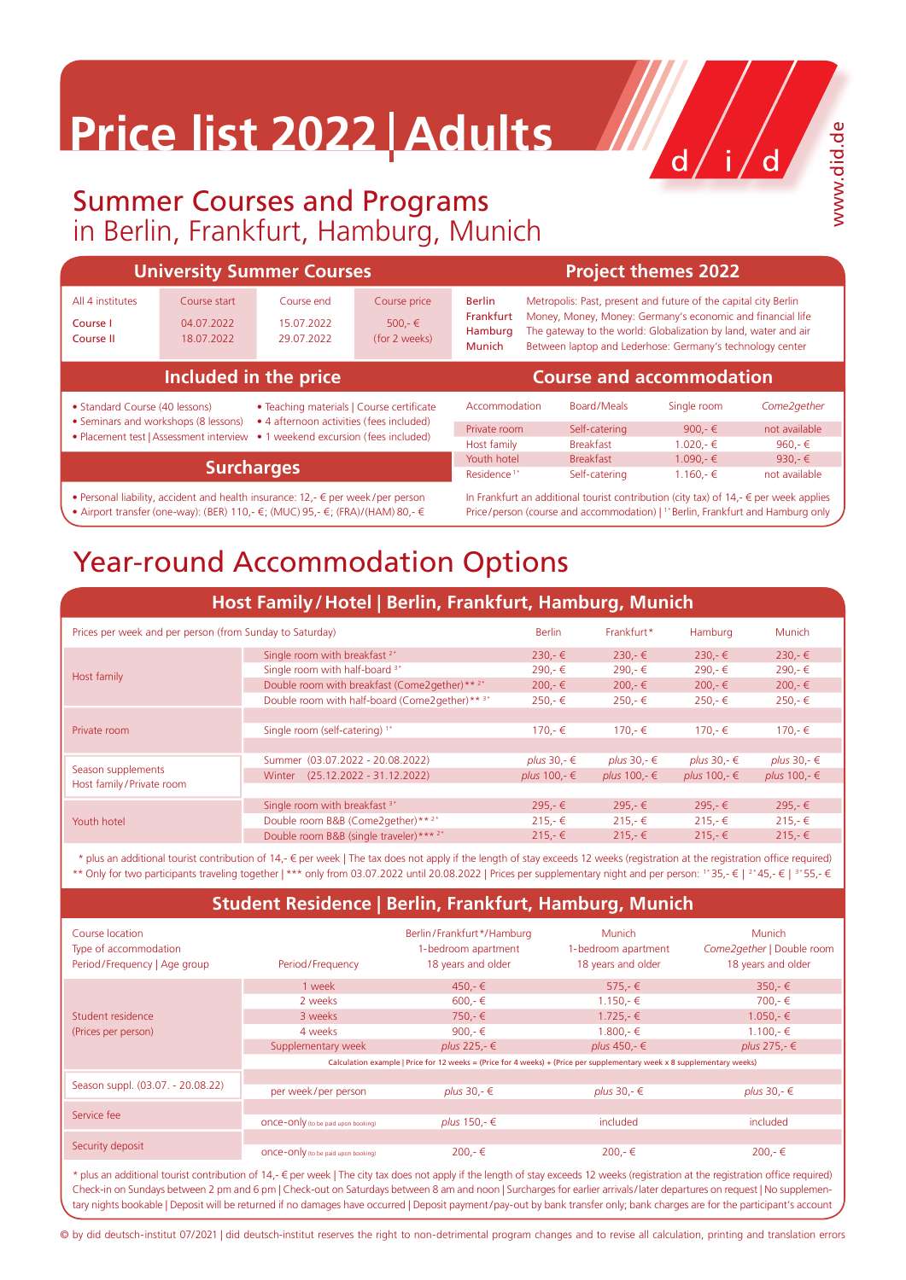# **Price list 2022 Adults**

## Summer Courses and Programs in Berlin, Frankfurt, Hamburg, Munich

| <b>University Summer Courses</b>                                                         |                                          |                                           |                                                                                           | <b>Project themes 2022</b>                                                                                                                                                                                                                                                                                             |               |                    |                    |               |
|------------------------------------------------------------------------------------------|------------------------------------------|-------------------------------------------|-------------------------------------------------------------------------------------------|------------------------------------------------------------------------------------------------------------------------------------------------------------------------------------------------------------------------------------------------------------------------------------------------------------------------|---------------|--------------------|--------------------|---------------|
| All 4 institutes<br>Course I<br>Course II                                                | Course start<br>04.07.2022<br>18.07.2022 | Course end<br>15.07.2022<br>29.07.2022    | Course price<br>$500 - \epsilon$<br>(for 2 weeks)                                         | Metropolis: Past, present and future of the capital city Berlin<br><b>Berlin</b><br>Money, Money, Money: Germany's economic and financial life<br>Frankfurt<br>The gateway to the world: Globalization by land, water and air<br>Hamburg<br>Between laptop and Lederhose: Germany's technology center<br><b>Munich</b> |               |                    |                    |               |
| Included in the price                                                                    |                                          |                                           |                                                                                           | <b>Course and accommodation</b>                                                                                                                                                                                                                                                                                        |               |                    |                    |               |
| • Standard Course (40 lessons)                                                           |                                          | • Teaching materials   Course certificate |                                                                                           | Accommodation                                                                                                                                                                                                                                                                                                          |               | Board/Meals        | Single room        | Come2qether   |
|                                                                                          | • Seminars and workshops (8 lessons)     | • 4 afternoon activities (fees included)  |                                                                                           | Private room                                                                                                                                                                                                                                                                                                           |               | Self-catering      | 900.- $\in$        | not available |
|                                                                                          | • Placement test   Assessment interview  | • 1 weekend excursion (fees included)     |                                                                                           | Host family                                                                                                                                                                                                                                                                                                            |               | <b>Breakfast</b>   | $1.020 - \epsilon$ | 960,- €       |
|                                                                                          |                                          |                                           |                                                                                           | Youth hotel                                                                                                                                                                                                                                                                                                            |               | <b>Breakfast</b>   | $1.090 - \epsilon$ | 930,- €       |
| <b>Surcharges</b>                                                                        |                                          |                                           | Residence <sup>1*</sup>                                                                   |                                                                                                                                                                                                                                                                                                                        | Self-catering | $1.160 - \epsilon$ | not available      |               |
| • Personal liability, accident and health insurance: 12,- $\epsilon$ per week/per person |                                          |                                           | In Frankfurt an additional tourist contribution (city tax) of $14.5 \in$ per week applies |                                                                                                                                                                                                                                                                                                                        |               |                    |                    |               |

• Airport transfer (one-way): (BER) 110,-  $\epsilon$ ; (MUC) 95,-  $\epsilon$ ; (FRA)/(HAM) 80,-  $\epsilon$ 

Price/person (course and accommodation) | <sup>1</sup>\* Berlin, Frankfurt and Hamburg only

# Year-round Accommodation Options

|                                                          | Host Family/Hotel   Berlin, Frankfurt, Hamburg, Munich |                       |                  |                       |                       |
|----------------------------------------------------------|--------------------------------------------------------|-----------------------|------------------|-----------------------|-----------------------|
| Prices per week and per person (from Sunday to Saturday) |                                                        | <b>Berlin</b>         | Frankfurt*       | Hamburg               | Munich                |
|                                                          | Single room with breakfast <sup>2*</sup>               | $230,-€$              | $230 - \epsilon$ | $230,-€$              | $230,-€$              |
| Host family                                              | Single room with half-board <sup>3*</sup>              | 290,-€                | 290,-€           | 290,-€                | 290,-€                |
|                                                          | Double room with breakfast (Come2gether)** 2*          | $200,-$ €             | $200,-$ €        | $200,-$ €             | $200,-$ €             |
|                                                          | Double room with half-board (Come2gether)** 3*         | $250,-€$              | 250,-€           | 250,-€                | 250,-€                |
|                                                          |                                                        |                       |                  |                       |                       |
| Private room                                             | Single room (self-catering) <sup>1*</sup>              | 170,-€                | 170,-€           | 170,-€                | 170,-€                |
|                                                          |                                                        |                       |                  |                       |                       |
|                                                          | Summer (03.07.2022 - 20.08.2022)                       | plus 30,- $∈$         | plus 30,- €      | plus 30,- $∈$         | plus 30,- $\epsilon$  |
| Season supplements                                       | $(25.12.2022 - 31.12.2022)$<br>Winter                  | plus $100 - \epsilon$ | plus 100,- $∈$   | plus $100 - \epsilon$ | plus $100 - \epsilon$ |
| Host family / Private room                               |                                                        |                       |                  |                       |                       |
|                                                          | Single room with breakfast <sup>3*</sup>               | $295,-€$              | 295,-€           | $295,-€$              | $295,-€$              |
| Youth hotel                                              | Double room B&B (Come2gether)** 2*                     | $215,-€$              | $215,-€$         | $215,-€$              | $215,-€$              |
|                                                          | Double room B&B (single traveler) *** 2*               | $215.-€$              | $215,-€$         | $215,-€$              | $215,-€$              |

 \* plus an additional tourist contribution of 14,- € per week | The tax does not apply if the length of stay exceeds 12 weeks (registration at the registration office required) \*\* Only for two participants traveling together | \*\*\* only from 03.07.2022 until 20.08.2022 | Prices per supplementary night and per person: 1\*35,- € | 2\*45,- € | 3\*55,- €

### **Student Residence | Berlin, Frankfurt, Hamburg, Munich**

| Course location<br>Type of accommodation<br>Period/Frequency   Age group | Period/Frequency                                                                                                        | Berlin/Frankfurt*/Hamburg<br>1-bedroom apartment<br>18 years and older | <b>Munich</b><br>1-bedroom apartment<br>18 years and older | <b>Munich</b><br>Come2gether   Double room<br>18 years and older |  |  |  |
|--------------------------------------------------------------------------|-------------------------------------------------------------------------------------------------------------------------|------------------------------------------------------------------------|------------------------------------------------------------|------------------------------------------------------------------|--|--|--|
|                                                                          | 1 week                                                                                                                  | $450 - \epsilon$                                                       | $575,-€$                                                   | $350,-$ €                                                        |  |  |  |
|                                                                          | 2 weeks                                                                                                                 | $600 - \epsilon$                                                       | $1.150,-$ €                                                | 700.-€                                                           |  |  |  |
| Student residence                                                        | 3 weeks                                                                                                                 | 750.-€                                                                 | $1.725 - €$                                                | $1.050,-€$                                                       |  |  |  |
| (Prices per person)                                                      | 4 weeks                                                                                                                 | 900.- $\in$                                                            | $1.800 - \epsilon$                                         | $1.100 - \epsilon$                                               |  |  |  |
|                                                                          | Supplementary week                                                                                                      | plus 225,- $∈$                                                         | plus 450,- $∈$                                             | plus $275 - \epsilon$                                            |  |  |  |
|                                                                          | Calculation example   Price for 12 weeks = (Price for 4 weeks) + (Price per supplementary week x 8 supplementary weeks) |                                                                        |                                                            |                                                                  |  |  |  |
|                                                                          |                                                                                                                         |                                                                        |                                                            |                                                                  |  |  |  |
| Season suppl. (03.07. - 20.08.22)                                        | per week/per person                                                                                                     | plus 30.- $∈$                                                          | plus 30,- $∈$                                              | plus 30,- $∈$                                                    |  |  |  |
|                                                                          |                                                                                                                         |                                                                        |                                                            |                                                                  |  |  |  |
| Service fee                                                              | ONCE-ONLY (to be paid upon booking)                                                                                     | plus 150,- €                                                           | included                                                   | included                                                         |  |  |  |
|                                                                          |                                                                                                                         |                                                                        |                                                            |                                                                  |  |  |  |
| Security deposit                                                         | ONCE-ONLY (to be paid upon booking)                                                                                     | $200.-€$                                                               | $200,-$ €                                                  | $200.-€$                                                         |  |  |  |

\* plus an additional tourist contribution of 14,- € per week | The city tax does not apply if the length of stay exceeds 12 weeks (registration at the registration office required) Check-in on Sundays between 2 pm and 6 pm | Check-out on Saturdays between 8 am and noon | Surcharges for earlier arrivals /later departures on request | No supplementary nights bookable | Deposit will be returned if no damages have occurred | Deposit payment /pay-out by bank transfer only; bank charges are for the participant's account

© by did deutsch-institut 07/2021 | did deutsch-institut reserves the right to non-detrimental program changes and to revise all calculation, printing and translation errors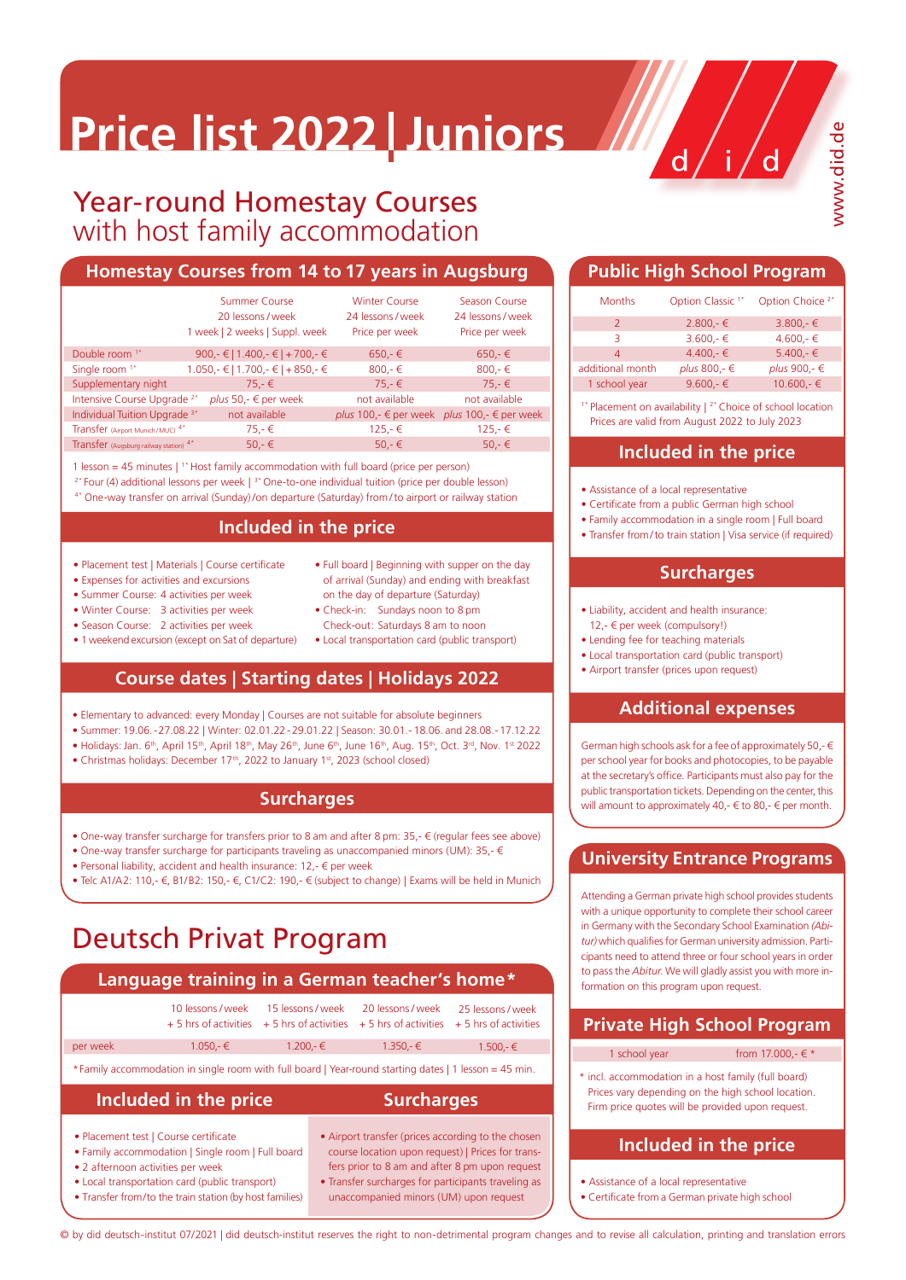# **Price list 2022 Juniors**

## Year-round Homestay Courses with host family accommodation

### **Homestay Courses from 14 to 17 years in Augsburg**

|                                             | <b>Summer Course</b><br>20 lessons / week<br>1 week   2 weeks   Suppl. week | <b>Winter Course</b><br>24 lessons / week<br>Price per week | Season Course<br>24 lessons / week<br>Price per week |
|---------------------------------------------|-----------------------------------------------------------------------------|-------------------------------------------------------------|------------------------------------------------------|
| Double room <sup>1*</sup>                   | 900,- €   1.400,- €   + 700,- €                                             | $650 - \epsilon$                                            | $650,-$ €                                            |
| Single room <sup>1*</sup>                   | 1.050,- €   1.700,- €   + 850,- €                                           | 800,- $\in$                                                 | 800.- $\in$                                          |
| Supplementary night                         | $75.-€$                                                                     | $75.-€$                                                     | $75.-€$                                              |
| Intensive Course Upgrade <sup>2*</sup>      | plus 50,- € per week                                                        | not available                                               | not available                                        |
| Individual Tuition Upgrade <sup>3*</sup>    | not available                                                               | plus 100,- € per week plus 100,- € per week                 |                                                      |
| Transfer (Airport Munich/MUC) <sup>4*</sup> | 75,-€                                                                       | $125,-€$                                                    | $125,-€$                                             |
| Transfer (Augsburg railway station) 4*      | $50 - \epsilon$                                                             | $50 - \epsilon$                                             | $50 - \epsilon$                                      |

1 lesson = 45 minutes | 1\* Host family accommodation with full board (price per person)

<sup>2\*</sup> Four (4) additional lessons per week  $|^{3*}$  One-to-one individual tuition (price per double lesson)

4\* One-way transfer on arrival (Sunday) /on departure (Saturday) from / to airport or railway station

### **Included in the price**

- Placement test | Materials | Course certificate
- Expenses for activities and excursions • Summer Course: 4 activities per week
- Winter Course: 3 activities per week
- Season Course: 2 activities per week
- 1 weekend excursion (except on Sat of departure)
- Full board | Beginning with supper on the day of arrival (Sunday) and ending with breakfast on the day of departure (Saturday)
- Check-in: Sundays noon to 8 pm
- Check-out: Saturdays 8 am to noon

• Local transportation card (public transport)

### **Course dates | Starting dates | Holidays 2022**

- Elementary to advanced: every Monday | Courses are not suitable for absolute beginners
- Summer: 19.06. 27.08.22 | Winter: 02.01.22 29.01.22 | Season: 30.01. 18.06. and 28.08. 17.12.22
- Holidays: Jan. 6<sup>th</sup>, April 15<sup>th</sup>, April 18<sup>th</sup>, May 26<sup>th</sup>, June 6<sup>th</sup>, June 16<sup>th</sup>, Aug. 15<sup>th</sup>, Oct. 3<sup>rd</sup>, Nov. 1st 2022
- Christmas holidays: December 17<sup>th</sup>, 2022 to January 1<sup>st</sup>, 2023 (school closed)

### **Surcharges**

- One-way transfer surcharge for transfers prior to 8 am and after 8 pm: 35,- € (regular fees see above)
- One-way transfer surcharge for participants traveling as unaccompanied minors (UM): 35,- €
- Personal liability, accident and health insurance:  $12, -6$  per week

• Telc A1/A2: 110,- €, B1/B2: 150,- €, C1/C2: 190,- € (subject to change) | Exams will be held in Munich

# Deutsch Privat Program

### **Language training in a German teacher's home\***

|                                                                                                       |                    | 10 lessons / week 15 lessons / week 20 lessons / week 25 lessons / week<br>$+5$ hrs of activities $+5$ hrs of activities $+5$ hrs of activities $+5$ hrs of activities |           |                    |  |  |  |
|-------------------------------------------------------------------------------------------------------|--------------------|------------------------------------------------------------------------------------------------------------------------------------------------------------------------|-----------|--------------------|--|--|--|
| per week                                                                                              | $1.050 - \epsilon$ | $1.200 - \epsilon$                                                                                                                                                     | 1.350.- € | $1.500 - \epsilon$ |  |  |  |
| *Family accommodation in single room with full board   Year-round starting dates   1 lesson = 45 min. |                    |                                                                                                                                                                        |           |                    |  |  |  |

### **Included in the price Surcharges**

- Placement test | Course certificate
- Family accommodation | Single room | Full board
- 2 afternoon activities per week
- Local transportation card (public transport)
- Transfer from/to the train station (by host families)
- Airport transfer (prices according to the chosen course location upon request) | Prices for transfers prior to 8 am and after 8 pm upon request • Transfer surcharges for participants traveling as
- unaccompanied minors (UM) upon request

### **Public High School Program**

 $d/i/d$ 

| <b>Months</b>    | Option Classic <sup>1*</sup> | Option Choice <sup>2*</sup> |  |
|------------------|------------------------------|-----------------------------|--|
| $\mathcal{P}$    | $2.800,-$ €                  | $3.800 - \epsilon$          |  |
| 3                | $3.600 - \epsilon$           | $4.600 - \epsilon$          |  |
| 4                | $4.400 - \epsilon$           | $5.400 - \epsilon$          |  |
| additional month | plus 800,- €                 | plus 900,- €                |  |
| 1 school year    | 9.600,- $\in$                | 10.600,-€                   |  |
|                  |                              |                             |  |

<sup>1\*</sup> Placement on availability | <sup>2\*</sup> Choice of school location Prices are valid from August 2022 to July 2023

### **Included in the price**

- Assistance of a local representative
- Certificate from a public German high school
- Family accommodation in a single room | Full board
- Transfer from / to train station | Visa service (if required)

### **Surcharges**

- Liability, accident and health insurance:
- 12,- € per week (compulsory!)
- Lending fee for teaching materials
- Local transportation card (public transport)
- Airport transfer (prices upon request)

### **Additional expenses**

German high schools ask for a fee of approximately 50,- € per school year for books and photocopies, to be payable at the secretary's office. Participants must also pay for the public transportation tickets. Depending on the center, this will amount to approximately 40,-  $\epsilon$  to 80,-  $\epsilon$  per month.

### **University Entrance Programs**

Attending a German private high school provides students with a unique opportunity to complete their school career in Germany with the Secondary School Examination *(Abitur)* which qualifies for German university admission. Participants need to attend three or four school years in order to pass the *Abitur*. We will gladly assist you with more information on this program upon request.

### **Private High School Program**

- 1 school year from  $17.000, \pm \infty$ 
	-
- \* incl. accommodation in a host family (full board) Prices vary depending on the high school location. Firm price quotes will be provided upon request.

### **Included in the price**

- Assistance of a local representative
- Certificate from a German private high school

© by did deutsch-institut 07/2021 | did deutsch-institut reserves the right to non-detrimental program changes and to revise all calculation, printing and translation errors